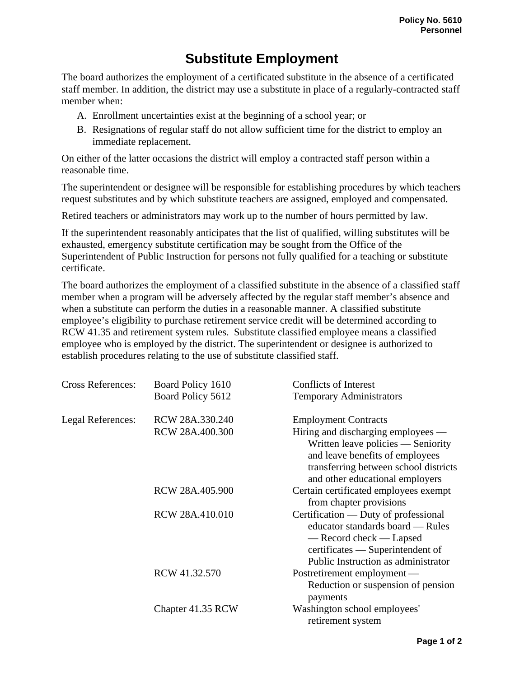## **Substitute Employment**

The board authorizes the employment of a certificated substitute in the absence of a certificated staff member. In addition, the district may use a substitute in place of a regularly-contracted staff member when:

- A. Enrollment uncertainties exist at the beginning of a school year; or
- B. Resignations of regular staff do not allow sufficient time for the district to employ an immediate replacement.

On either of the latter occasions the district will employ a contracted staff person within a reasonable time.

The superintendent or designee will be responsible for establishing procedures by which teachers request substitutes and by which substitute teachers are assigned, employed and compensated.

Retired teachers or administrators may work up to the number of hours permitted by law.

If the superintendent reasonably anticipates that the list of qualified, willing substitutes will be exhausted, emergency substitute certification may be sought from the Office of the Superintendent of Public Instruction for persons not fully qualified for a teaching or substitute certificate.

The board authorizes the employment of a classified substitute in the absence of a classified staff member when a program will be adversely affected by the regular staff member's absence and when a substitute can perform the duties in a reasonable manner. A classified substitute employee's eligibility to purchase retirement service credit will be determined according to RCW 41.35 and retirement system rules. Substitute classified employee means a classified employee who is employed by the district. The superintendent or designee is authorized to establish procedures relating to the use of substitute classified staff.

| <b>Cross References:</b> | Board Policy 1610 | <b>Conflicts of Interest</b>          |
|--------------------------|-------------------|---------------------------------------|
|                          | Board Policy 5612 | <b>Temporary Administrators</b>       |
| Legal References:        | RCW 28A.330.240   | <b>Employment Contracts</b>           |
|                          | RCW 28A.400.300   | Hiring and discharging employees —    |
|                          |                   | Written leave policies — Seniority    |
|                          |                   | and leave benefits of employees       |
|                          |                   | transferring between school districts |
|                          |                   | and other educational employers       |
|                          | RCW 28A.405.900   | Certain certificated employees exempt |
|                          |                   | from chapter provisions               |
|                          | RCW 28A.410.010   | Certification — Duty of professional  |
|                          |                   | educator standards board — Rules      |
|                          |                   | — Record check — Lapsed               |
|                          |                   | certificates — Superintendent of      |
|                          |                   | Public Instruction as administrator   |
|                          | RCW 41.32.570     | Postretirement employment -           |
|                          |                   | Reduction or suspension of pension    |
|                          |                   | payments                              |
|                          | Chapter 41.35 RCW | Washington school employees'          |
|                          |                   | retirement system                     |